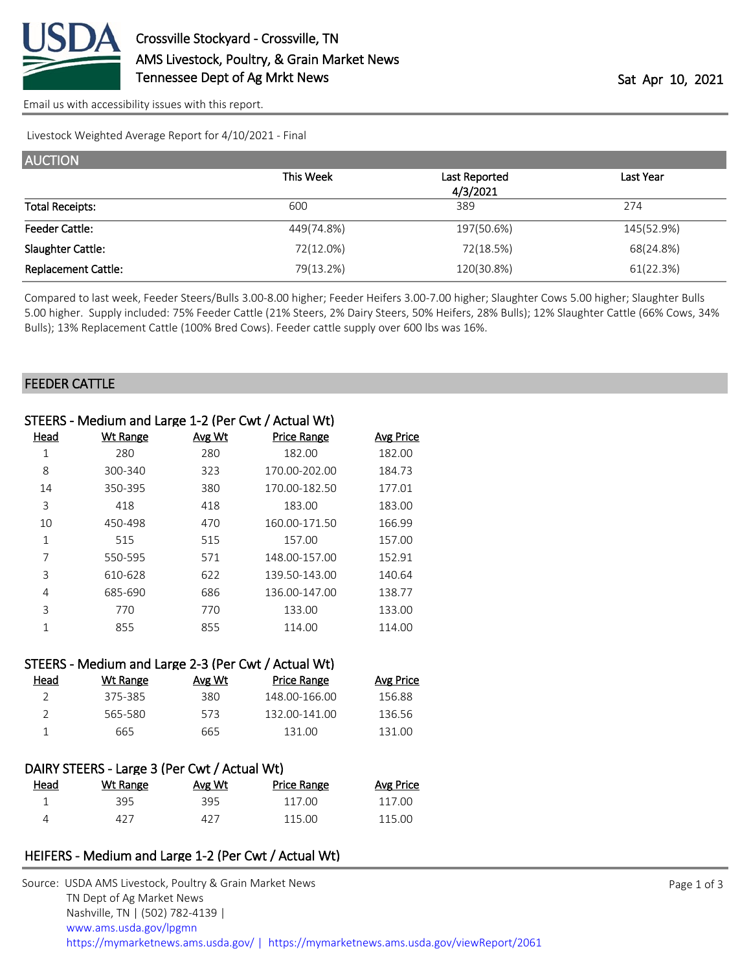

[Email us with accessibility issues with this report.](mailto:mars@ams.usda.gov?subject=508%20issue)

Livestock Weighted Average Report for 4/10/2021 - Final

| <b>AUCTION</b>             |            |               |            |
|----------------------------|------------|---------------|------------|
|                            | This Week  | Last Reported | Last Year  |
|                            |            | 4/3/2021      |            |
| <b>Total Receipts:</b>     | 600        | 389           | 274        |
| <b>Feeder Cattle:</b>      | 449(74.8%) | 197(50.6%)    | 145(52.9%) |
| Slaughter Cattle:          | 72(12.0%)  | 72(18.5%)     | 68(24.8%)  |
| <b>Replacement Cattle:</b> | 79(13.2%)  | 120(30.8%)    | 61(22.3%)  |

Compared to last week, Feeder Steers/Bulls 3.00-8.00 higher; Feeder Heifers 3.00-7.00 higher; Slaughter Cows 5.00 higher; Slaughter Bulls 5.00 higher. Supply included: 75% Feeder Cattle (21% Steers, 2% Dairy Steers, 50% Heifers, 28% Bulls); 12% Slaughter Cattle (66% Cows, 34% Bulls); 13% Replacement Cattle (100% Bred Cows). Feeder cattle supply over 600 lbs was 16%.

#### FEEDER CATTLE

|                | STEERS - Medium and Large 1-2 (Per Cwt / Actual Wt) |        |                    |                  |
|----------------|-----------------------------------------------------|--------|--------------------|------------------|
| Head           | <b>Wt Range</b>                                     | Avg Wt | <b>Price Range</b> | <b>Avg Price</b> |
| $\mathbf 1$    | 280                                                 | 280    | 182.00             | 182.00           |
| 8              | 300-340                                             | 323    | 170.00-202.00      | 184.73           |
| 14             | 350-395                                             | 380    | 170.00-182.50      | 177.01           |
| $\overline{3}$ | 418                                                 | 418    | 183.00             | 183.00           |
| 10             | 450-498                                             | 470    | 160.00-171.50      | 166.99           |
| $\mathbf{1}$   | 515                                                 | 515    | 157.00             | 157.00           |
| 7              | 550-595                                             | 571    | 148.00-157.00      | 152.91           |
| 3              | 610-628                                             | 622    | 139.50-143.00      | 140.64           |
| 4              | 685-690                                             | 686    | 136.00-147.00      | 138.77           |
| 3              | 770                                                 | 770    | 133.00             | 133.00           |
| $\mathbf{1}$   | 855                                                 | 855    | 114.00             | 114.00           |
|                |                                                     |        |                    |                  |
|                | STEERS - Medium and Large 2-3 (Per Cwt / Actual Wt) |        |                    |                  |
| Head           | <b>Wt Range</b>                                     | Avg Wt | <b>Price Range</b> | <b>Avg Price</b> |
| $\overline{2}$ | 375-385                                             | 380    | 148.00-166.00      | 156.88           |
| $\overline{2}$ | 565-580                                             | 573    | 132.00-141.00      | 136.56           |
| 1              | 665                                                 | 665    | 131.00             | 131.00           |
|                |                                                     |        |                    |                  |
|                | DAIRY STEERS - Large 3 (Per Cwt / Actual Wt)        |        |                    |                  |
| <b>Head</b>    | <b>Wt Range</b>                                     | Avg Wt | <b>Price Range</b> | <b>Avg Price</b> |
| $\mathbf{1}$   | 395                                                 | 395    | 117.00             | 117.00           |
| 4              | 427                                                 | 427    | 115.00             | 115.00           |
|                |                                                     |        |                    |                  |
|                |                                                     |        |                    |                  |

### HEIFERS - Medium and Large 1-2 (Per Cwt / Actual Wt)

| Source: USDA AMS Livestock, Poultry & Grain Market News                                |
|----------------------------------------------------------------------------------------|
| TN Dept of Ag Market News                                                              |
| Nashville, TN   (502) 782-4139                                                         |
| www.ams.usda.gov/lpgmn                                                                 |
| https://mymarketnews.ams.usda.gov/   https://mymarketnews.ams.usda.gov/viewReport/2061 |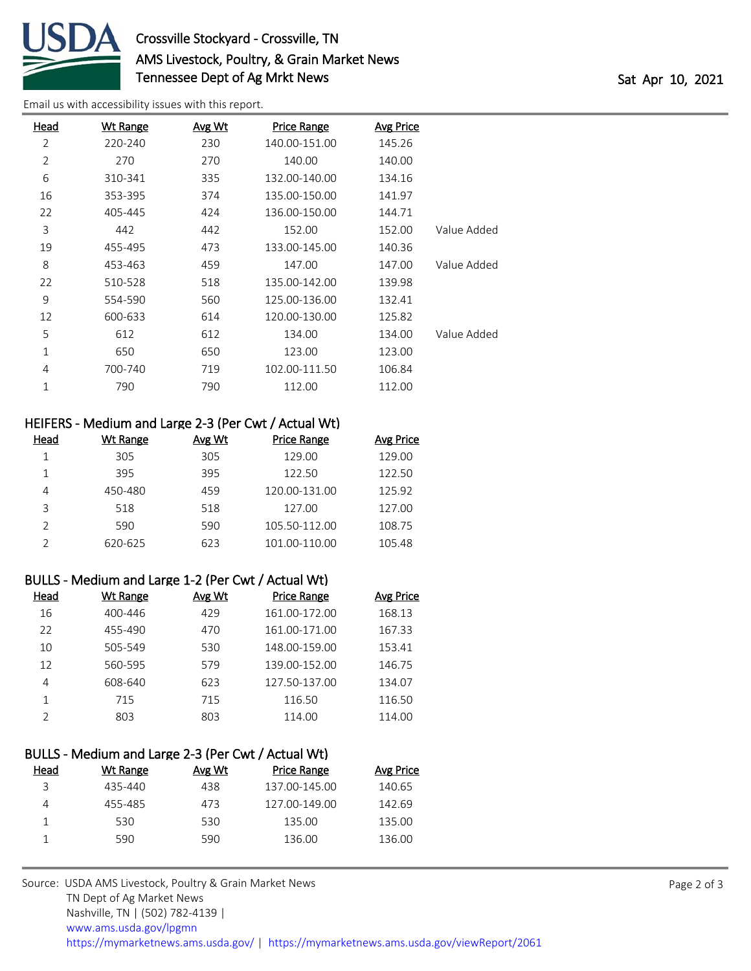

# Crossville Stockyard - Crossville, TN AMS Livestock, Poultry, & Grain Market News Tennessee Dept of Ag Mrkt News Tennessee Dept of Ag Mrkt News

[Email us with accessibility issues with this report.](mailto:mars@ams.usda.gov?subject=508%20issue)

| Head           | <b>Wt Range</b> | <b>Avg Wt</b> | <b>Price Range</b> | <b>Avg Price</b> |             |
|----------------|-----------------|---------------|--------------------|------------------|-------------|
| 2              | 220-240         | 230           | 140.00-151.00      | 145.26           |             |
| $\overline{2}$ | 270             | 270           | 140.00             | 140.00           |             |
| 6              | 310-341         | 335           | 132.00-140.00      | 134.16           |             |
| 16             | 353-395         | 374           | 135.00-150.00      | 141.97           |             |
| 22             | 405-445         | 424           | 136.00-150.00      | 144.71           |             |
| 3              | 442             | 442           | 152.00             | 152.00           | Value Added |
| 19             | 455-495         | 473           | 133.00-145.00      | 140.36           |             |
| 8              | 453-463         | 459           | 147.00             | 147.00           | Value Added |
| 22             | 510-528         | 518           | 135.00-142.00      | 139.98           |             |
| 9              | 554-590         | 560           | 125.00-136.00      | 132.41           |             |
| 12             | 600-633         | 614           | 120.00-130.00      | 125.82           |             |
| 5              | 612             | 612           | 134.00             | 134.00           | Value Added |
| $\mathbf{1}$   | 650             | 650           | 123.00             | 123.00           |             |
| 4              | 700-740         | 719           | 102.00-111.50      | 106.84           |             |
| $\mathbf{1}$   | 790             | 790           | 112.00             | 112.00           |             |
|                |                 |               |                    |                  |             |

## HEIFERS - Medium and Large 2-3 (Per Cwt / Actual Wt)

| Head | Wt Range | Avg Wt | Price Range   | <b>Avg Price</b> |
|------|----------|--------|---------------|------------------|
|      | 305      | 305    | 129.00        | 129.00           |
|      | 395      | 395    | 122.50        | 122.50           |
| 4    | 450-480  | 459    | 120.00-131.00 | 125.92           |
| ੨    | 518      | 518    | 127.00        | 127.00           |
|      | 590      | 590    | 105.50-112.00 | 108.75           |
|      | 620-625  | 623    | 101.00-110.00 | 105.48           |

#### BULLS - Medium and Large 1-2 (Per Cwt / Actual Wt)

| Head | Wt Range | Avg Wt | <b>Price Range</b> | <b>Avg Price</b> |
|------|----------|--------|--------------------|------------------|
| 16   | 400-446  | 429    | 161.00-172.00      | 168.13           |
| 22   | 455-490  | 470    | 161.00-171.00      | 167.33           |
| 10   | 505-549  | 530    | 148.00-159.00      | 153.41           |
| 12   | 560-595  | 579    | 139.00-152.00      | 146.75           |
| 4    | 608-640  | 623    | 127.50-137.00      | 134.07           |
|      | 715      | 715    | 116.50             | 116.50           |
|      | 803      | 803    | 114.00             | 114.00           |

|      | BULLS - Medium and Large 2-3 (Per Cwt / Actual Wt) |        |                    |           |
|------|----------------------------------------------------|--------|--------------------|-----------|
| Head | Wt Range                                           | Avg Wt | <b>Price Range</b> | Avg Price |
| 3    | 435-440                                            | 438    | 137.00-145.00      | 140.65    |
|      | 455-485                                            | 473    | 127.00-149.00      | 142.69    |
|      | 530                                                | 530    | 135.00             | 135.00    |
|      | 590                                                | 590    | 136.00             | 136.00    |
|      |                                                    |        |                    |           |